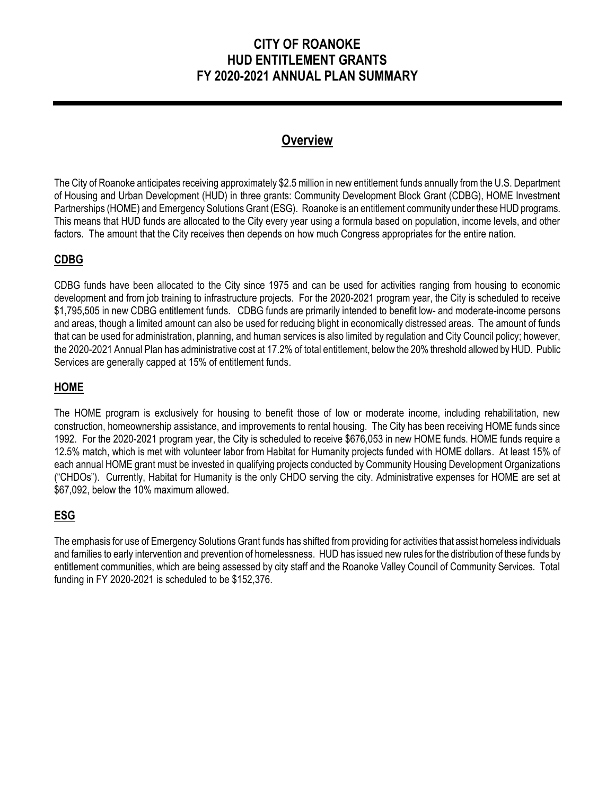# **CITY OF ROANOKE HUD ENTITLEMENT GRANTS FY 2020-2021 ANNUAL PLAN SUMMARY**

# **Overview**

The City of Roanoke anticipates receiving approximately \$2.5 million in new entitlement funds annually from the U.S. Department of Housing and Urban Development (HUD) in three grants: Community Development Block Grant (CDBG), HOME Investment Partnerships (HOME) and Emergency Solutions Grant (ESG). Roanoke is an entitlement community under these HUD programs. This means that HUD funds are allocated to the City every year using a formula based on population, income levels, and other factors. The amount that the City receives then depends on how much Congress appropriates for the entire nation.

# **CDBG**

CDBG funds have been allocated to the City since 1975 and can be used for activities ranging from housing to economic development and from job training to infrastructure projects. For the 2020-2021 program year, the City is scheduled to receive \$1,795,505 in new CDBG entitlement funds. CDBG funds are primarily intended to benefit low- and moderate-income persons and areas, though a limited amount can also be used for reducing blight in economically distressed areas. The amount of funds that can be used for administration, planning, and human services is also limited by regulation and City Council policy; however, the 2020-2021 Annual Plan has administrative cost at 17.2% of total entitlement, below the 20% threshold allowed by HUD. Public Services are generally capped at 15% of entitlement funds.

# **HOME**

The HOME program is exclusively for housing to benefit those of low or moderate income, including rehabilitation, new construction, homeownership assistance, and improvements to rental housing. The City has been receiving HOME funds since 1992. For the 2020-2021 program year, the City is scheduled to receive \$676,053 in new HOME funds. HOME funds require a 12.5% match, which is met with volunteer labor from Habitat for Humanity projects funded with HOME dollars. At least 15% of each annual HOME grant must be invested in qualifying projects conducted by Community Housing Development Organizations ("CHDOs"). Currently, Habitat for Humanity is the only CHDO serving the city. Administrative expenses for HOME are set at \$67,092, below the 10% maximum allowed.

# **ESG**

The emphasis for use of Emergency Solutions Grant funds has shifted from providing for activities that assist homeless individuals and families to early intervention and prevention of homelessness. HUD has issued new rules for the distribution of these funds by entitlement communities, which are being assessed by city staff and the Roanoke Valley Council of Community Services. Total funding in FY 2020-2021 is scheduled to be \$152,376.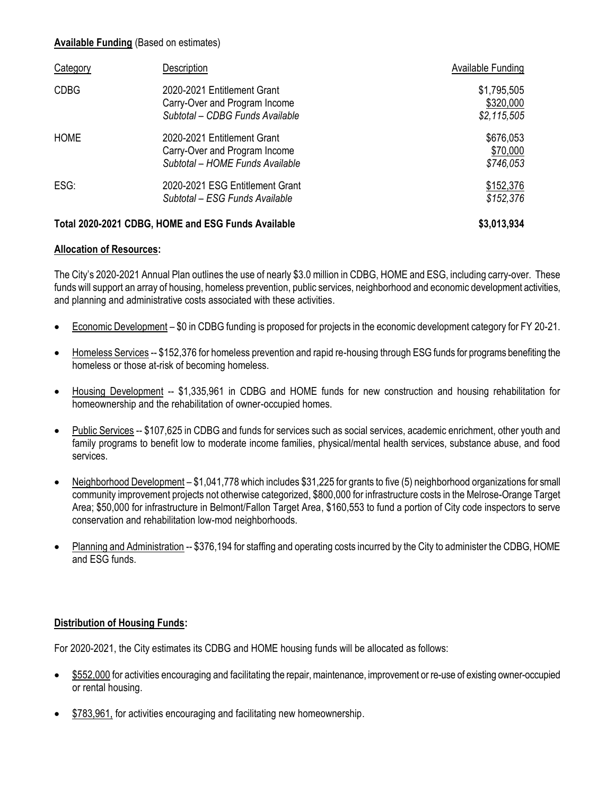#### **Available Funding** (Based on estimates)

| Category    | Description                                                                                     | Available Funding                         |
|-------------|-------------------------------------------------------------------------------------------------|-------------------------------------------|
| <b>CDBG</b> | 2020-2021 Entitlement Grant<br>Carry-Over and Program Income<br>Subtotal - CDBG Funds Available | \$1,795,505<br>\$320,000<br>\$2, 115, 505 |
| <b>HOME</b> | 2020-2021 Entitlement Grant<br>Carry-Over and Program Income<br>Subtotal – HOME Funds Available | \$676,053<br>\$70,000<br>\$746,053        |
| ESG:        | 2020-2021 ESG Entitlement Grant<br>Subtotal – ESG Funds Available                               | \$152,376<br>\$152,376                    |
|             | Total 2020-2021 CDBG, HOME and ESG Funds Available                                              | \$3,013,934                               |

#### **Allocation of Resources:**

The City's 2020-2021 Annual Plan outlines the use of nearly \$3.0 million in CDBG, HOME and ESG, including carry-over. These funds will support an array of housing, homeless prevention, public services, neighborhood and economic development activities, and planning and administrative costs associated with these activities.

- Economic Development \$0 in CDBG funding is proposed for projects in the economic development category for FY 20-21.
- Homeless Services -- \$152,376 for homeless prevention and rapid re-housing through ESG funds for programs benefiting the homeless or those at-risk of becoming homeless.
- Housing Development -- \$1,335,961 in CDBG and HOME funds for new construction and housing rehabilitation for homeownership and the rehabilitation of owner-occupied homes.
- Public Services -- \$107,625 in CDBG and funds for services such as social services, academic enrichment, other youth and family programs to benefit low to moderate income families, physical/mental health services, substance abuse, and food services.
- Neighborhood Development \$1,041,778 which includes \$31,225 for grants to five (5) neighborhood organizations for small community improvement projects not otherwise categorized, \$800,000 for infrastructure costs in the Melrose-Orange Target Area; \$50,000 for infrastructure in Belmont/Fallon Target Area, \$160,553 to fund a portion of City code inspectors to serve conservation and rehabilitation low-mod neighborhoods.
- Planning and Administration -- \$376,194 for staffing and operating costs incurred by the City to administer the CDBG, HOME and ESG funds.

#### **Distribution of Housing Funds:**

For 2020-2021, the City estimates its CDBG and HOME housing funds will be allocated as follows:

- \$552,000 for activities encouraging and facilitating the repair, maintenance, improvement or re-use of existing owner-occupied or rental housing.
- \$783,961, for activities encouraging and facilitating new homeownership.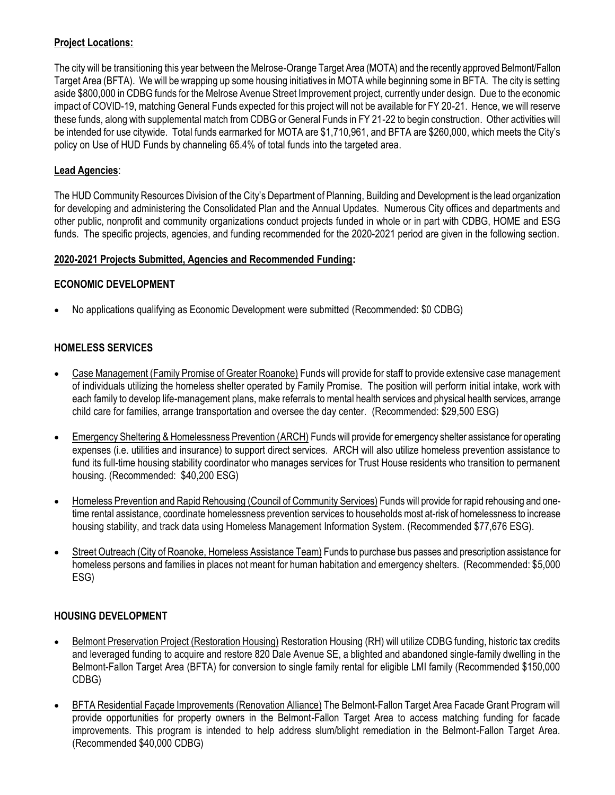## **Project Locations:**

The city will be transitioning this year between the Melrose-Orange Target Area (MOTA) and the recently approved Belmont/Fallon Target Area (BFTA). We will be wrapping up some housing initiatives in MOTA while beginning some in BFTA. The city is setting aside \$800,000 in CDBG funds for the Melrose Avenue Street Improvement project, currently under design. Due to the economic impact of COVID-19, matching General Funds expected for this project will not be available for FY 20-21. Hence, we will reserve these funds, along with supplemental match from CDBG or General Funds in FY 21-22 to begin construction. Other activities will be intended for use citywide. Total funds earmarked for MOTA are \$1,710,961, and BFTA are \$260,000, which meets the City's policy on Use of HUD Funds by channeling 65.4% of total funds into the targeted area.

## **Lead Agencies**:

The HUD Community Resources Division of the City's Department of Planning, Building and Development is the lead organization for developing and administering the Consolidated Plan and the Annual Updates. Numerous City offices and departments and other public, nonprofit and community organizations conduct projects funded in whole or in part with CDBG, HOME and ESG funds. The specific projects, agencies, and funding recommended for the 2020-2021 period are given in the following section.

#### **2020-2021 Projects Submitted, Agencies and Recommended Funding:**

## **ECONOMIC DEVELOPMENT**

No applications qualifying as Economic Development were submitted (Recommended: \$0 CDBG)

# **HOMELESS SERVICES**

- Case Management (Family Promise of Greater Roanoke) Funds will provide for staff to provide extensive case management of individuals utilizing the homeless shelter operated by Family Promise. The position will perform initial intake, work with each family to develop life-management plans, make referrals to mental health services and physical health services, arrange child care for families, arrange transportation and oversee the day center. (Recommended: \$29,500 ESG)
- Emergency Sheltering & Homelessness Prevention (ARCH) Funds will provide for emergency shelter assistance for operating expenses (i.e. utilities and insurance) to support direct services. ARCH will also utilize homeless prevention assistance to fund its full-time housing stability coordinator who manages services for Trust House residents who transition to permanent housing. (Recommended: \$40,200 ESG)
- Homeless Prevention and Rapid Rehousing (Council of Community Services) Funds will provide for rapid rehousing and onetime rental assistance, coordinate homelessness prevention services to households most at-risk of homelessness to increase housing stability, and track data using Homeless Management Information System. (Recommended \$77,676 ESG).
- Street Outreach (City of Roanoke, Homeless Assistance Team) Funds to purchase bus passes and prescription assistance for homeless persons and families in places not meant for human habitation and emergency shelters. (Recommended: \$5,000 ESG)

#### **HOUSING DEVELOPMENT**

- Belmont Preservation Project (Restoration Housing) Restoration Housing (RH) will utilize CDBG funding, historic tax credits and leveraged funding to acquire and restore 820 Dale Avenue SE, a blighted and abandoned single-family dwelling in the Belmont-Fallon Target Area (BFTA) for conversion to single family rental for eligible LMI family (Recommended \$150,000 CDBG)
- BFTA Residential Façade Improvements (Renovation Alliance) The Belmont-Fallon Target Area Facade Grant Program will provide opportunities for property owners in the Belmont-Fallon Target Area to access matching funding for facade improvements. This program is intended to help address slum/blight remediation in the Belmont-Fallon Target Area. (Recommended \$40,000 CDBG)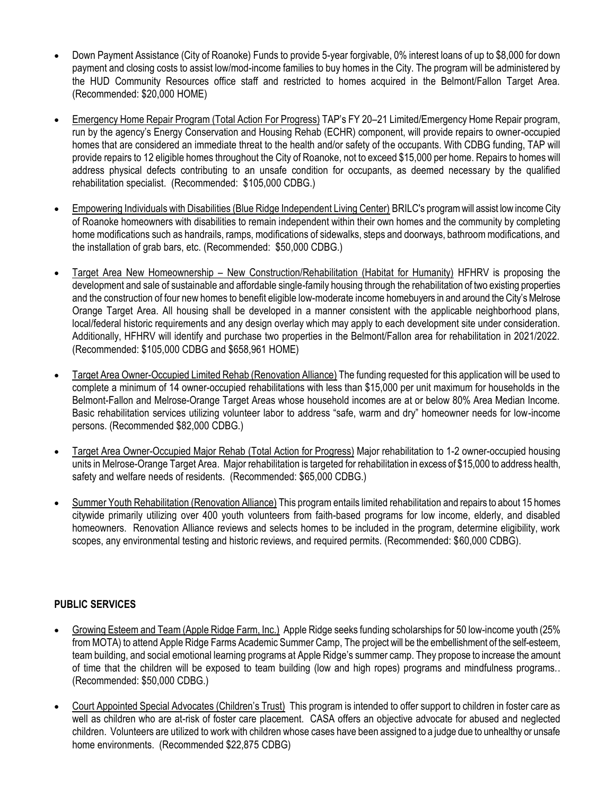- Down Payment Assistance (City of Roanoke) Funds to provide 5-year forgivable, 0% interest loans of up to \$8,000 for down payment and closing costs to assist low/mod-income families to buy homes in the City. The program will be administered by the HUD Community Resources office staff and restricted to homes acquired in the Belmont/Fallon Target Area. (Recommended: \$20,000 HOME)
- Emergency Home Repair Program (Total Action For Progress) TAP's FY 20–21 Limited/Emergency Home Repair program, run by the agency's Energy Conservation and Housing Rehab (ECHR) component, will provide repairs to owner-occupied homes that are considered an immediate threat to the health and/or safety of the occupants. With CDBG funding, TAP will provide repairs to 12 eligible homes throughout the City of Roanoke, not to exceed \$15,000 per home. Repairs to homes will address physical defects contributing to an unsafe condition for occupants, as deemed necessary by the qualified rehabilitation specialist. (Recommended: \$105,000 CDBG.)
- Empowering Individuals with Disabilities (Blue Ridge Independent Living Center) BRILC's program will assist low income City of Roanoke homeowners with disabilities to remain independent within their own homes and the community by completing home modifications such as handrails, ramps, modifications of sidewalks, steps and doorways, bathroom modifications, and the installation of grab bars, etc. (Recommended: \$50,000 CDBG.)
- Target Area New Homeownership New Construction/Rehabilitation (Habitat for Humanity) HFHRV is proposing the development and sale of sustainable and affordable single-family housing through the rehabilitation of two existing properties and the construction of four new homes to benefit eligible low-moderate income homebuyers in and around the City's Melrose Orange Target Area. All housing shall be developed in a manner consistent with the applicable neighborhood plans, local/federal historic requirements and any design overlay which may apply to each development site under consideration. Additionally, HFHRV will identify and purchase two properties in the Belmont/Fallon area for rehabilitation in 2021/2022. (Recommended: \$105,000 CDBG and \$658,961 HOME)
- Target Area Owner-Occupied Limited Rehab (Renovation Alliance) The funding requested for this application will be used to complete a minimum of 14 owner-occupied rehabilitations with less than \$15,000 per unit maximum for households in the Belmont-Fallon and Melrose-Orange Target Areas whose household incomes are at or below 80% Area Median Income. Basic rehabilitation services utilizing volunteer labor to address "safe, warm and dry" homeowner needs for low-income persons. (Recommended \$82,000 CDBG.)
- Target Area Owner-Occupied Major Rehab (Total Action for Progress) Major rehabilitation to 1-2 owner-occupied housing units in Melrose-Orange Target Area. Major rehabilitation is targeted for rehabilitation in excess of \$15,000 to address health, safety and welfare needs of residents. (Recommended: \$65,000 CDBG.)
- Summer Youth Rehabilitation (Renovation Alliance) This program entails limited rehabilitation and repairs to about 15 homes citywide primarily utilizing over 400 youth volunteers from faith-based programs for low income, elderly, and disabled homeowners. Renovation Alliance reviews and selects homes to be included in the program, determine eligibility, work scopes, any environmental testing and historic reviews, and required permits. (Recommended: \$60,000 CDBG).

#### **PUBLIC SERVICES**

- Growing Esteem and Team (Apple Ridge Farm, Inc.) Apple Ridge seeks funding scholarships for 50 low-income youth (25% from MOTA) to attend Apple Ridge Farms Academic Summer Camp, The project will be the embellishment of the self-esteem, team building, and social emotional learning programs at Apple Ridge's summer camp. They propose to increase the amount of time that the children will be exposed to team building (low and high ropes) programs and mindfulness programs.. (Recommended: \$50,000 CDBG.)
- Court Appointed Special Advocates (Children's Trust) This program is intended to offer support to children in foster care as well as children who are at-risk of foster care placement. CASA offers an objective advocate for abused and neglected children. Volunteers are utilized to work with children whose cases have been assigned to a judge due to unhealthy or unsafe home environments. (Recommended \$22,875 CDBG)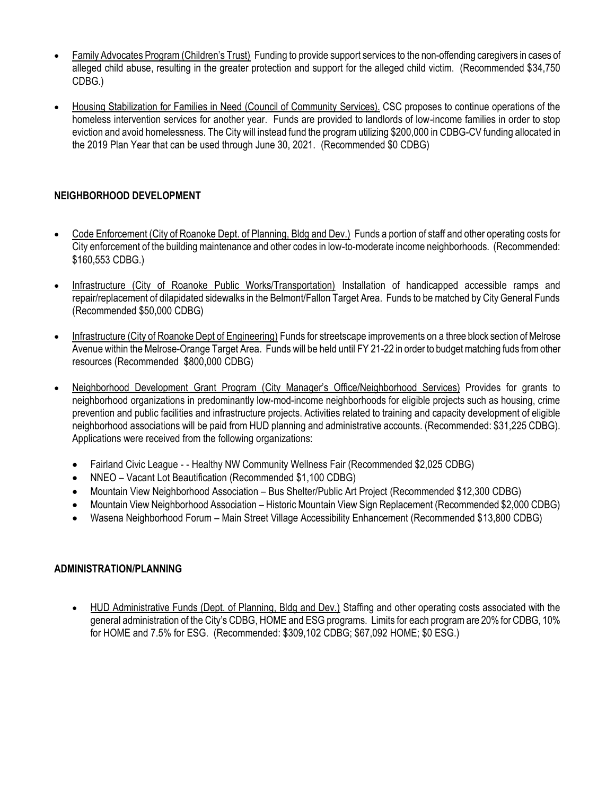- Family Advocates Program (Children's Trust) Funding to provide support services to the non-offending caregivers in cases of alleged child abuse, resulting in the greater protection and support for the alleged child victim. (Recommended \$34,750 CDBG.)
- Housing Stabilization for Families in Need (Council of Community Services). CSC proposes to continue operations of the homeless intervention services for another year. Funds are provided to landlords of low-income families in order to stop eviction and avoid homelessness. The City will instead fund the program utilizing \$200,000 in CDBG-CV funding allocated in the 2019 Plan Year that can be used through June 30, 2021. (Recommended \$0 CDBG)

# **NEIGHBORHOOD DEVELOPMENT**

- Code Enforcement (City of Roanoke Dept. of Planning, Bldg and Dev.) Funds a portion of staff and other operating costs for City enforcement of the building maintenance and other codes in low-to-moderate income neighborhoods. (Recommended: \$160,553 CDBG.)
- Infrastructure (City of Roanoke Public Works/Transportation) Installation of handicapped accessible ramps and repair/replacement of dilapidated sidewalks in the Belmont/Fallon Target Area. Funds to be matched by City General Funds (Recommended \$50,000 CDBG)
- Infrastructure (City of Roanoke Dept of Engineering) Funds for streetscape improvements on a three block section of Melrose Avenue within the Melrose-Orange Target Area. Funds will be held until FY 21-22 in order to budget matching fuds from other resources (Recommended \$800,000 CDBG)
- Neighborhood Development Grant Program (City Manager's Office/Neighborhood Services) Provides for grants to neighborhood organizations in predominantly low-mod-income neighborhoods for eligible projects such as housing, crime prevention and public facilities and infrastructure projects. Activities related to training and capacity development of eligible neighborhood associations will be paid from HUD planning and administrative accounts. (Recommended: \$31,225 CDBG). Applications were received from the following organizations:
	- Fairland Civic League - Healthy NW Community Wellness Fair (Recommended \$2,025 CDBG)
	- NNEO Vacant Lot Beautification (Recommended \$1,100 CDBG)
	- Mountain View Neighborhood Association Bus Shelter/Public Art Project (Recommended \$12,300 CDBG)
	- Mountain View Neighborhood Association Historic Mountain View Sign Replacement (Recommended \$2,000 CDBG)
	- Wasena Neighborhood Forum Main Street Village Accessibility Enhancement (Recommended \$13,800 CDBG)

#### **ADMINISTRATION/PLANNING**

• HUD Administrative Funds (Dept. of Planning, Bldg and Dev.) Staffing and other operating costs associated with the general administration of the City's CDBG, HOME and ESG programs. Limits for each program are 20% for CDBG, 10% for HOME and 7.5% for ESG. (Recommended: \$309,102 CDBG; \$67,092 HOME; \$0 ESG.)